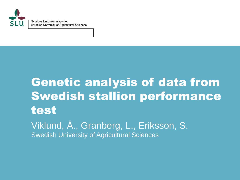

Sveriges lantbruksuniversitet Swedish University of Agricultural Sciences

# Genetic analysis of data from Swedish stallion performance test Viklund, Å., Granberg, L., Eriksson, S.

Swedish University of Agricultural Sciences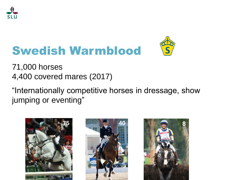

# Swedish Warmblood



71,000 horses 4,400 covered mares (2017)

"Internationally competitive horses in dressage, show jumping or eventing"

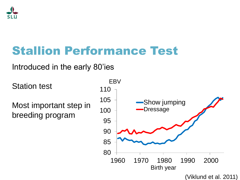

### Stallion Performance Test

#### Introduced in the early 80'ies

Station test

Most important step in breeding program

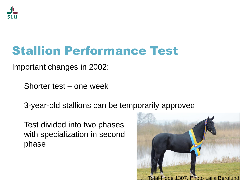

### Stallion Performance Test

Important changes in 2002:

Shorter test – one week

3-year-old stallions can be temporarily approved

Test divided into two phases with specialization in second phase

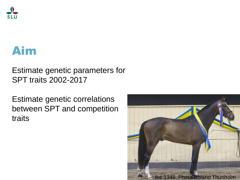

### Aim

#### Estimate genetic parameters for SPT traits 2002-2017

Estimate genetic correlations between SPT and competition traits

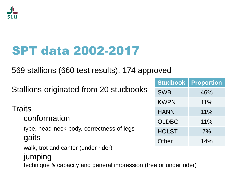

### SPT data 2002-2017

569 stallions (660 test results), 174 approved

| Stallions originated from 20 studbooks                                     | Studbook     | <b>Proportion</b> |  |
|----------------------------------------------------------------------------|--------------|-------------------|--|
|                                                                            | <b>SWB</b>   | 46%               |  |
|                                                                            | <b>KWPN</b>  | 11%               |  |
| <b>Traits</b><br>conformation<br>type, head-neck-body, correctness of legs | <b>HANN</b>  | 11%               |  |
|                                                                            | <b>OLDBG</b> | 11%               |  |
|                                                                            | <b>HOLST</b> | 7%                |  |
| gaits                                                                      | Other        | 14%               |  |
| walk, trot and canter (under rider)                                        |              |                   |  |
| jumping                                                                    |              |                   |  |
| technique & capacity and general impression (free or under rider)          |              |                   |  |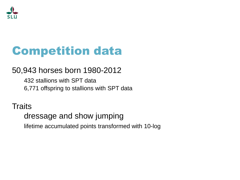

### Competition data

#### 50,943 horses born 1980-2012

432 stallions with SPT data 6,771 offspring to stallions with SPT data

**Traits** 

#### dressage and show jumping

lifetime accumulated points transformed with 10-log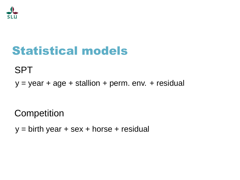

### Statistical models

SPT

 $y = year + age + stallion + perm. env. + residual$ 

**Competition** 

 $y =$  birth year + sex + horse + residual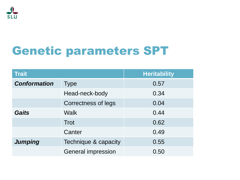

### Genetic parameters SPT

| <b>Trait</b>        |                           | <b>Heritability</b> |
|---------------------|---------------------------|---------------------|
| <b>Conformation</b> | <b>Type</b>               | 0.57                |
|                     | Head-neck-body            | 0.34                |
|                     | Correctness of legs       | 0.04                |
| <b>Gaits</b>        | <b>Walk</b>               | 0.44                |
|                     | Trot                      | 0.62                |
|                     | Canter                    | 0.49                |
| <b>Jumping</b>      | Technique & capacity      | 0.55                |
|                     | <b>General impression</b> | 0.50                |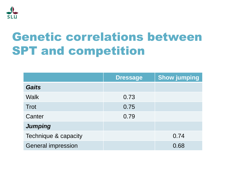

### Genetic correlations between SPT and competition

|                           | <b>Dressage</b> | <b>Show jumping</b> |
|---------------------------|-----------------|---------------------|
| <b>Gaits</b>              |                 |                     |
| <b>Walk</b>               | 0.73            |                     |
| <b>Trot</b>               | 0.75            |                     |
| Canter                    | 0.79            |                     |
| <b>Jumping</b>            |                 |                     |
| Technique & capacity      |                 | 0.74                |
| <b>General impression</b> |                 | 0.68                |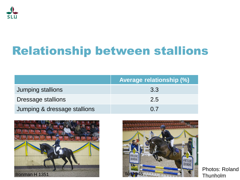

### Relationship between stallions

|                              | <b>Average relationship (%)</b> |
|------------------------------|---------------------------------|
| Jumping stallions            | 3.3                             |
| Dressage stallions           | 2.5                             |
| Jumping & dressage stallions | $\Omega$ 7                      |





Photos: Roland Thunholm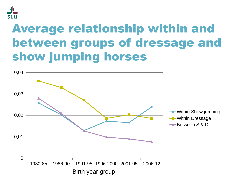

### Average relationship within and between groups of dressage and show jumping horses